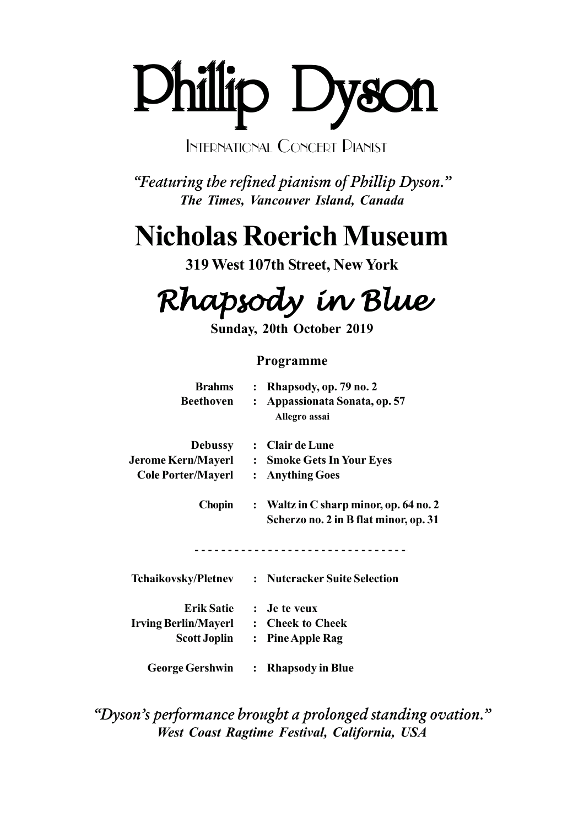# Phillip Dyson Phillip Dyson Phillip Dyson

## INTERNATIONAL CONCERT PIANIST

*"Featuring the refined pianism of Phillip Dyson." The Times, Vancouver Island, Canada*

# **Nicholas Roerich Museum**

**319 West 107th Street, New York**

Rhapsody in Blue

**Sunday, 20th October 2019**

### **Programme**

| <b>Brahms</b><br>Beethoven    | $\mathbf{L}$<br>$\mathbf{L}$ | Rhapsody, op. 79 no. 2<br>Appassionata Sonata, op. 57<br>Allegro assai            |
|-------------------------------|------------------------------|-----------------------------------------------------------------------------------|
| <b>Debussy</b>                |                              | : Clair de Lune                                                                   |
| Jerome Kern/Mayerl          : |                              | <b>Smoke Gets In Your Eyes</b>                                                    |
| <b>Cole Porter/Mayerl</b>     | $\ddot{\cdot}$               | <b>Anything Goes</b>                                                              |
| Chopin                        |                              | : Waltz in C sharp minor, op. $64$ no. 2<br>Scherzo no. 2 in B flat minor, op. 31 |
|                               |                              | <b>Tchaikovsky/Pletnev : Nutcracker Suite Selection</b>                           |
| <b>Erik Satie</b>             |                              | : Je te veux                                                                      |
| <b>Irving Berlin/Mayerl</b>   |                              | : Cheek to Cheek                                                                  |
| <b>Scott Joplin</b>           |                              | : Pine Apple Rag                                                                  |
| <b>George Gershwin</b>        |                              | : Rhapsody in Blue                                                                |

*"Dyson's performance brought a prolonged standing ovation." West Coast Ragtime Festival, California, USA*